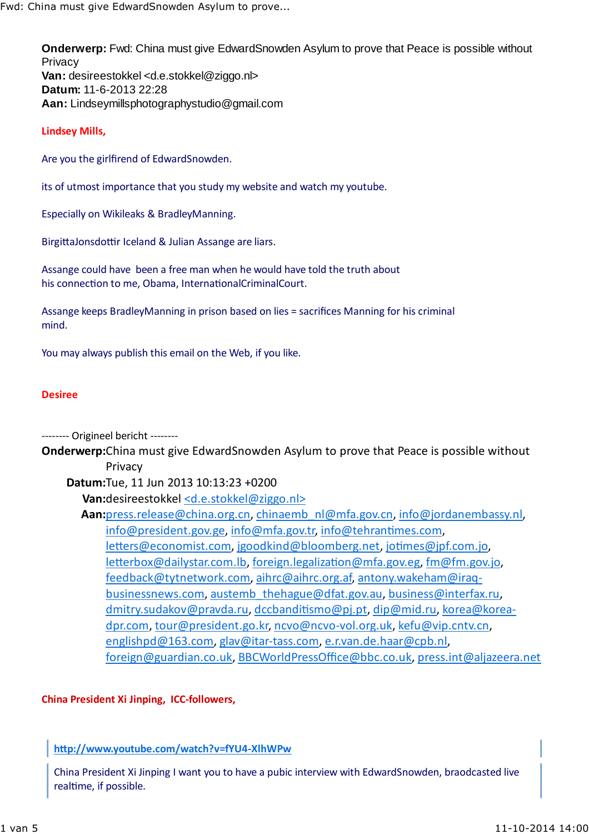**Onderwerp:** Fwd: China must give EdwardSnowden Asylum to prove that Peace is possible without **Privacy Van:** desireestokkel <d.e.stokkel@ziggo.nl> **Datum:** 11-6-2013 22:28 **Aan:** Lindseymillsphotographystudio@gmail.com

## **Lindsey Mills,**

Are you the girlfirend of EdwardSnowden.

its of utmost importance that you study my website and watch my youtube.

Especially on Wikileaks & BradleyManning.

BirgittaJonsdottir Iceland & Julian Assange are liars.

Assange could have been a free man when he would have told the truth about his connection to me, Obama, InternationalCriminalCourt.

Assange keeps BradleyManning in prison based on lies = sacrifices Manning for his criminal mind.

You may always publish this email on the Web, if you like.

## **Desiree**

-------- Origineel bericht --------

**Onderwerp:**China must give EdwardSnowden Asylum to prove that Peace is possible without Privacy

**Datum:**Tue, 11 Jun 2013 10:13:23 +0200

**Van:**desireestokkel <d.e.stokkel@ziggo.nl>

**Aan:**press.release@china.org.cn, chinaemb\_nl@mfa.gov.cn, info@jordanembassy.nl, info@president.gov.ge, info@mfa.gov.tr, info@tehrantimes.com, letters@economist.com, jgoodkind@bloomberg.net, jotimes@jpf.com.jo, letterbox@dailystar.com.lb, foreign.legalization@mfa.gov.eg, fm@fm.gov.jo, feedback@tytnetwork.com, aihrc@aihrc.org.af, antony.wakeham@iraqbusinessnews.com, austemb thehague@dfat.gov.au, business@interfax.ru, dmitry.sudakov@pravda.ru, dccbanditismo@pj.pt, dip@mid.ru, korea@koreadpr.com, tour@president.go.kr, ncvo@ncvo-vol.org.uk, kefu@vip.cntv.cn, englishpd@163.com, glav@itar-tass.com, e.r.van.de.haar@cpb.nl, foreign@guardian.co.uk, BBCWorldPressOffice@bbc.co.uk, press.int@aljazeera.net

## **China President Xi Jinping, ICC-followers,**

**h"p://www.youtube.com/watch?v=fYU4-XlhWPw**

China President Xi Jinping I want you to have a pubic interview with EdwardSnowden, braodcasted live realtime, if possible.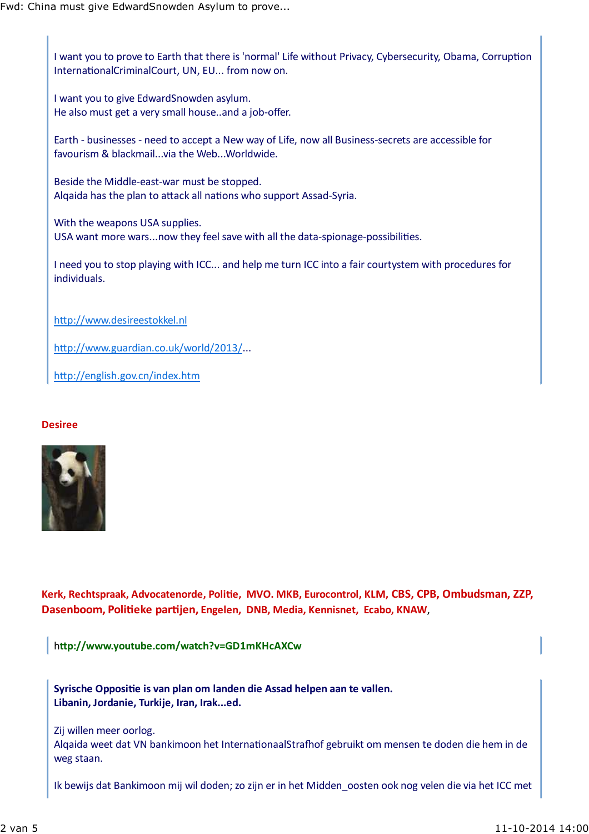I want you to prove to Earth that there is 'normal' Life without Privacy, Cybersecurity, Obama, Corruption InternationalCriminalCourt, UN, EU... from now on.

I want you to give EdwardSnowden asylum. He also must get a very small house..and a job-offer.

Earth - businesses - need to accept a New way of Life, now all Business-secrets are accessible for favourism & blackmail...via the Web...Worldwide.

Beside the Middle-east-war must be stopped. Alqaida has the plan to attack all nations who support Assad-Syria.

With the weapons USA supplies. USA want more wars...now they feel save with all the data-spionage-possibilities.

I need you to stop playing with ICC... and help me turn ICC into a fair courtystem with procedures for individuals.

http://www.desireestokkel.nl

http://www.guardian.co.uk/world/2013/...

http://english.gov.cn/index.htm

## **Desiree**



**Kerk, Rechtspraak, Advocatenorde, Poli1e, MVO. MKB, Eurocontrol, KLM, CBS, CPB, Ombudsman, ZZP, Dasenboom, Poli1eke par1jen, Engelen, DNB, Media, Kennisnet, Ecabo, KNAW**,

h**"p://www.youtube.com/watch?v=GD1mKHcAXCw**

Syrische Oppositie is van plan om landen die Assad helpen aan te vallen. **Libanin, Jordanie, Turkije, Iran, Irak...ed.**

Zij willen meer oorlog.

Algaida weet dat VN bankimoon het InternationaalStrafhof gebruikt om mensen te doden die hem in de weg staan.

Ik bewijs dat Bankimoon mij wil doden; zo zijn er in het Midden\_oosten ook nog velen die via het ICC met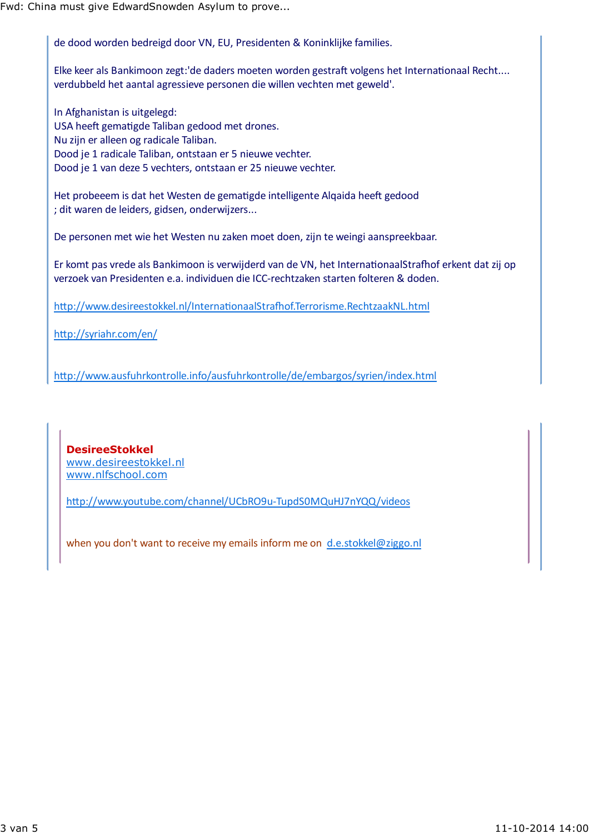de dood worden bedreigd door VN, EU, Presidenten & Koninklijke families.

Elke keer als Bankimoon zegt:'de daders moeten worden gestraft volgens het Internationaal Recht.... verdubbeld het aantal agressieve personen die willen vechten met geweld'.

In Afghanistan is uitgelegd: USA heeft gematigde Taliban gedood met drones. Nu zijn er alleen og radicale Taliban. Dood je 1 radicale Taliban, ontstaan er 5 nieuwe vechter. Dood je 1 van deze 5 vechters, ontstaan er 25 nieuwe vechter.

Het probeeem is dat het Westen de gematigde intelligente Alqaida heeft gedood ; dit waren de leiders, gidsen, onderwijzers...

De personen met wie het Westen nu zaken moet doen, zijn te weingi aanspreekbaar.

Er komt pas vrede als Bankimoon is verwijderd van de VN, het InternationaalStrafhof erkent dat zij op verzoek van Presidenten e.a. individuen die ICC-rechtzaken starten folteren & doden.

http://www.desireestokkel.nl/InternationaalStrafhof.Terrorisme.RechtzaakNL.html

http://syriahr.com/en/

h p://www.ausfuhrkontrolle.info/ausfuhrkontrolle/de/embargos/syrien/index.html

**DesireeStokkel** www.desireestokkel.nl www.nlfschool.com

http://www.youtube.com/channel/UCbRO9u-TupdS0MQuHJ7nYQQ/videos

when you don't want to receive my emails inform me on d.e.stokkel@ziggo.nl